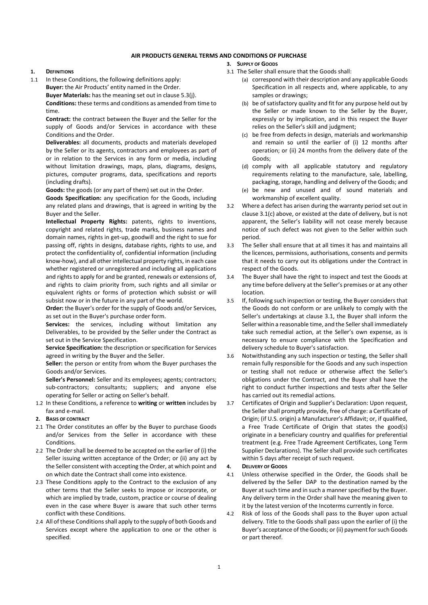# AIR PRODUCTS GENERAL TERMS AND CONDITIONS OF PURCHASE

#### 1. DEFINITIONS

1.1 In these Conditions, the following definitions apply: Buyer: the Air Products' entity named in the Order. Buyer Materials: has the meaning set out in clause 5.3(j). Conditions: these terms and conditions as amended from time to time.

Contract: the contract between the Buyer and the Seller for the supply of Goods and/or Services in accordance with these Conditions and the Order.

Deliverables: all documents, products and materials developed by the Seller or its agents, contractors and employees as part of or in relation to the Services in any form or media, including without limitation drawings, maps, plans, diagrams, designs, pictures, computer programs, data, specifications and reports (including drafts).

Goods: the goods (or any part of them) set out in the Order.

Goods Specification: any specification for the Goods, including any related plans and drawings, that is agreed in writing by the Buyer and the Seller.

Intellectual Property Rights: patents, rights to inventions, copyright and related rights, trade marks, business names and domain names, rights in get-up, goodwill and the right to sue for passing off, rights in designs, database rights, rights to use, and protect the confidentiality of, confidential information (including know-how), and all other intellectual property rights, in each case whether registered or unregistered and including all applications and rights to apply for and be granted, renewals or extensions of, and rights to claim priority from, such rights and all similar or equivalent rights or forms of protection which subsist or will subsist now or in the future in any part of the world.

Order: the Buyer's order for the supply of Goods and/or Services, as set out in the Buyer's purchase order form.

Services: the services, including without limitation any Deliverables, to be provided by the Seller under the Contract as set out in the Service Specification.

Service Specification: the description or specification for Services agreed in writing by the Buyer and the Seller.

Seller: the person or entity from whom the Buyer purchases the Goods and/or Services.

Seller's Personnel: Seller and its employees; agents; contractors; sub-contractors; consultants; suppliers; and anyone else operating for Seller or acting on Seller's behalf.

1.2 In these Conditions, a reference to writing or written includes by fax and e-mail.

# 2. BASIS OF CONTRACT

- 2.1 The Order constitutes an offer by the Buyer to purchase Goods and/or Services from the Seller in accordance with these Conditions.
- 2.2 The Order shall be deemed to be accepted on the earlier of (i) the Seller issuing written acceptance of the Order; or (ii) any act by the Seller consistent with accepting the Order, at which point and on which date the Contract shall come into existence.
- 2.3 These Conditions apply to the Contract to the exclusion of any other terms that the Seller seeks to impose or incorporate, or which are implied by trade, custom, practice or course of dealing even in the case where Buyer is aware that such other terms conflict with these Conditions.
- 2.4 All of these Conditions shall apply to the supply of both Goods and Services except where the application to one or the other is specified.

# 3. SUPPLY OF GOODS

- 3.1 The Seller shall ensure that the Goods shall:
	- (a) correspond with their description and any applicable Goods Specification in all respects and, where applicable, to any samples or drawings;
		- (b) be of satisfactory quality and fit for any purpose held out by the Seller or made known to the Seller by the Buyer, expressly or by implication, and in this respect the Buyer relies on the Seller's skill and judgment;
		- (c) be free from defects in design, materials and workmanship and remain so until the earlier of (i) 12 months after operation; or (ii) 24 months from the delivery date of the Goods;
		- (d) comply with all applicable statutory and regulatory requirements relating to the manufacture, sale, labelling, packaging, storage, handling and delivery of the Goods; and
		- (e) be new and unused and of sound materials and workmanship of excellent quality.
- 3.2 Where a defect has arisen during the warranty period set out in clause 3.1(c) above, or existed at the date of delivery, but is not apparent, the Seller's liability will not cease merely because notice of such defect was not given to the Seller within such period.
- 3.3 The Seller shall ensure that at all times it has and maintains all the licences, permissions, authorisations, consents and permits that it needs to carry out its obligations under the Contract in respect of the Goods.
- 3.4 The Buyer shall have the right to inspect and test the Goods at any time before delivery at the Seller's premises or at any other location.
- 3.5 If, following such inspection or testing, the Buyer considers that the Goods do not conform or are unlikely to comply with the Seller's undertakings at clause 3.1, the Buyer shall inform the Seller within a reasonable time, and the Seller shall immediately take such remedial action, at the Seller's own expense, as is necessary to ensure compliance with the Specification and delivery schedule to Buyer's satisfaction.
- 3.6 Notwithstanding any such inspection or testing, the Seller shall remain fully responsible for the Goods and any such inspection or testing shall not reduce or otherwise affect the Seller's obligations under the Contract, and the Buyer shall have the right to conduct further inspections and tests after the Seller has carried out its remedial actions.
- 3.7 Certificates of Origin and Supplier's Declaration: Upon request, the Seller shall promptly provide, free of charge: a Certificate of Origin; (if U.S. origin) a Manufacturer's Affidavit; or, if qualified, a Free Trade Certificate of Origin that states the good(s) originate in a beneficiary country and qualifies for preferential treatment (e.g. Free Trade Agreement Certificates, Long Term Supplier Declarations). The Seller shall provide such certificates within 5 days after receipt of such request.

### 4. DELIVERY OF GOODS

- 4.1 Unless otherwise specified in the Order, the Goods shall be delivered by the Seller DAP to the destination named by the Buyer at such time and in such a manner specified by the Buyer. Any delivery term in the Order shall have the meaning given to it by the latest version of the Incoterms currently in force.
- 4.2 Risk of loss of the Goods shall pass to the Buyer upon actual delivery. Title to the Goods shall pass upon the earlier of (i) the Buyer's acceptance of the Goods; or (ii) payment for such Goods or part thereof.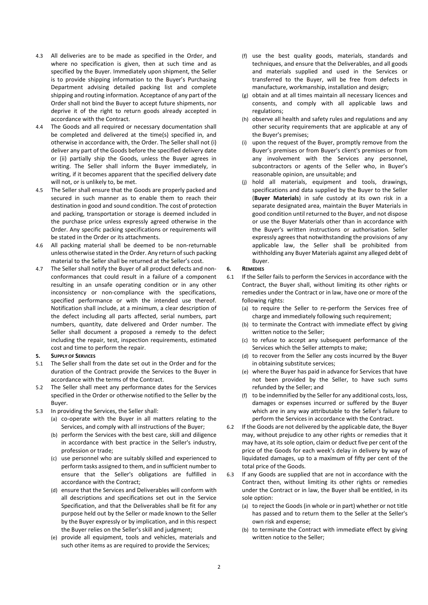- 4.3 All deliveries are to be made as specified in the Order, and where no specification is given, then at such time and as specified by the Buyer. Immediately upon shipment, the Seller is to provide shipping information to the Buyer's Purchasing Department advising detailed packing list and complete shipping and routing information. Acceptance of any part of the Order shall not bind the Buyer to accept future shipments, nor deprive it of the right to return goods already accepted in accordance with the Contract.
- 4.4 The Goods and all required or necessary documentation shall be completed and delivered at the time(s) specified in, and otherwise in accordance with, the Order. The Seller shall not (i) deliver any part of the Goods before the specified delivery date or (ii) partially ship the Goods, unless the Buyer agrees in writing. The Seller shall inform the Buyer immediately, in writing, if it becomes apparent that the specified delivery date will not, or is unlikely to, be met.
- 4.5 The Seller shall ensure that the Goods are properly packed and secured in such manner as to enable them to reach their destination in good and sound condition. The cost of protection and packing, transportation or storage is deemed included in the purchase price unless expressly agreed otherwise in the Order. Any specific packing specifications or requirements will be stated in the Order or its attachments.
- 4.6 All packing material shall be deemed to be non-returnable unless otherwise stated in the Order. Any return of such packing material to the Seller shall be returned at the Seller's cost.
- 4.7 The Seller shall notify the Buyer of all product defects and nonconformances that could result in a failure of a component resulting in an unsafe operating condition or in any other inconsistency or non-compliance with the specifications, specified performance or with the intended use thereof. Notification shall include, at a minimum, a clear description of the defect including all parts affected, serial numbers, part numbers, quantity, date delivered and Order number. The Seller shall document a proposed a remedy to the defect including the repair, test, inspection requirements, estimated cost and time to perform the repair.

### 5. SUPPLY OF SERVICES

- 5.1 The Seller shall from the date set out in the Order and for the duration of the Contract provide the Services to the Buyer in accordance with the terms of the Contract.
- 5.2 The Seller shall meet any performance dates for the Services specified in the Order or otherwise notified to the Seller by the Buyer.
- 5.3 In providing the Services, the Seller shall:
	- (a) co-operate with the Buyer in all matters relating to the Services, and comply with all instructions of the Buyer;
	- (b) perform the Services with the best care, skill and diligence in accordance with best practice in the Seller's industry, profession or trade;
	- (c) use personnel who are suitably skilled and experienced to perform tasks assigned to them, and in sufficient number to ensure that the Seller's obligations are fulfilled in accordance with the Contract;
	- (d) ensure that the Services and Deliverables will conform with all descriptions and specifications set out in the Service Specification, and that the Deliverables shall be fit for any purpose held out by the Seller or made known to the Seller by the Buyer expressly or by implication, and in this respect the Buyer relies on the Seller's skill and judgment;
	- (e) provide all equipment, tools and vehicles, materials and such other items as are required to provide the Services;
- (f) use the best quality goods, materials, standards and techniques, and ensure that the Deliverables, and all goods and materials supplied and used in the Services or transferred to the Buyer, will be free from defects in manufacture, workmanship, installation and design;
- (g) obtain and at all times maintain all necessary licences and consents, and comply with all applicable laws and regulations;
- (h) observe all health and safety rules and regulations and any other security requirements that are applicable at any of the Buyer's premises;
- (i) upon the request of the Buyer, promptly remove from the Buyer's premises or from Buyer's client's premises or from any involvement with the Services any personnel, subcontractors or agents of the Seller who, in Buyer's reasonable opinion, are unsuitable; and
- (j) hold all materials, equipment and tools, drawings, specifications and data supplied by the Buyer to the Seller (Buyer Materials) in safe custody at its own risk in a separate designated area, maintain the Buyer Materials in good condition until returned to the Buyer, and not dispose or use the Buyer Materials other than in accordance with the Buyer's written instructions or authorisation. Seller expressly agrees that notwithstanding the provisions of any applicable law, the Seller shall be prohibited from withholding any Buyer Materials against any alleged debt of Buyer.

#### 6. REMEDIES

- 6.1 If the Seller fails to perform the Services in accordance with the Contract, the Buyer shall, without limiting its other rights or remedies under the Contract or in law, have one or more of the following rights:
	- (a) to require the Seller to re-perform the Services free of charge and immediately following such requirement;
	- (b) to terminate the Contract with immediate effect by giving written notice to the Seller;
	- (c) to refuse to accept any subsequent performance of the Services which the Seller attempts to make;
	- (d) to recover from the Seller any costs incurred by the Buyer in obtaining substitute services;
	- (e) where the Buyer has paid in advance for Services that have not been provided by the Seller, to have such sums refunded by the Seller; and
	- (f) to be indemnified by the Seller for any additional costs, loss, damages or expenses incurred or suffered by the Buyer which are in any way attributable to the Seller's failure to perform the Services in accordance with the Contract.
- 6.2 If the Goods are not delivered by the applicable date, the Buyer may, without prejudice to any other rights or remedies that it may have, at its sole option, claim or deduct five per cent of the price of the Goods for each week's delay in delivery by way of liquidated damages, up to a maximum of fifty per cent of the total price of the Goods.
- 6.3 If any Goods are supplied that are not in accordance with the Contract then, without limiting its other rights or remedies under the Contract or in law, the Buyer shall be entitled, in its sole option:
	- (a) to reject the Goods (in whole or in part) whether or not title has passed and to return them to the Seller at the Seller's own risk and expense;
	- (b) to terminate the Contract with immediate effect by giving written notice to the Seller;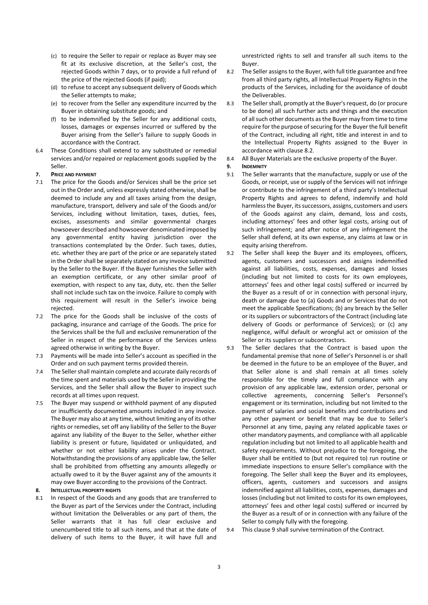- (c) to require the Seller to repair or replace as Buyer may see fit at its exclusive discretion, at the Seller's cost, the rejected Goods within 7 days, or to provide a full refund of the price of the rejected Goods (if paid);
- (d) to refuse to accept any subsequent delivery of Goods which the Seller attempts to make;
- (e) to recover from the Seller any expenditure incurred by the Buyer in obtaining substitute goods; and
- (f) to be indemnified by the Seller for any additional costs, losses, damages or expenses incurred or suffered by the Buyer arising from the Seller's failure to supply Goods in accordance with the Contract.
- 6.4 These Conditions shall extend to any substituted or remedial services and/or repaired or replacement goods supplied by the Seller.

### 7. PRICE AND PAYMENT

- 7.1 The price for the Goods and/or Services shall be the price set out in the Order and, unless expressly stated otherwise, shall be deemed to include any and all taxes arising from the design, manufacture, transport, delivery and sale of the Goods and/or Services, including without limitation, taxes, duties, fees, excises, assessments and similar governmental charges howsoever described and howsoever denominated imposed by any governmental entity having jurisdiction over the transactions contemplated by the Order. Such taxes, duties, etc. whether they are part of the price or are separately stated in the Order shall be separately stated on any invoice submitted by the Seller to the Buyer. If the Buyer furnishes the Seller with an exemption certificate, or any other similar proof of exemption, with respect to any tax, duty, etc. then the Seller shall not include such tax on the invoice. Failure to comply with this requirement will result in the Seller's invoice being rejected.
- 7.2 The price for the Goods shall be inclusive of the costs of packaging, insurance and carriage of the Goods. The price for the Services shall be the full and exclusive remuneration of the Seller in respect of the performance of the Services unless agreed otherwise in writing by the Buyer.
- 7.3 Payments will be made into Seller's account as specified in the Order and on such payment terms provided therein.
- 7.4 The Seller shall maintain complete and accurate daily records of the time spent and materials used by the Seller in providing the Services, and the Seller shall allow the Buyer to inspect such records at all times upon request.
- 7.5 The Buyer may suspend or withhold payment of any disputed or insufficiently documented amounts included in any invoice. The Buyer may also at any time, without limiting any of its other rights or remedies, set off any liability of the Seller to the Buyer against any liability of the Buyer to the Seller, whether either liability is present or future, liquidated or unliquidated, and whether or not either liability arises under the Contract. Notwithstanding the provisions of any applicable law, the Seller shall be prohibited from offsetting any amounts allegedly or actually owed to it by the Buyer against any of the amounts it may owe Buyer according to the provisions of the Contract.

# 8. INTELLECTUAL PROPERTY RIGHTS

8.1 In respect of the Goods and any goods that are transferred to the Buyer as part of the Services under the Contract, including without limitation the Deliverables or any part of them, the Seller warrants that it has full clear exclusive and unencumbered title to all such items, and that at the date of delivery of such items to the Buyer, it will have full and

unrestricted rights to sell and transfer all such items to the Buyer.

- 8.2 The Seller assigns to the Buyer, with full title guarantee and free from all third party rights, all Intellectual Property Rights in the products of the Services, including for the avoidance of doubt the Deliverables.
- 8.3 The Seller shall, promptly at the Buyer's request, do (or procure to be done) all such further acts and things and the execution of all such other documents as the Buyer may from time to time require for the purpose of securing for the Buyer the full benefit of the Contract, including all right, title and interest in and to the Intellectual Property Rights assigned to the Buyer in accordance with clause 8.2.
- 8.4 All Buyer Materials are the exclusive property of the Buyer.

### 9. INDEMNITY

- 9.1 The Seller warrants that the manufacture, supply or use of the Goods, or receipt, use or supply of the Services will not infringe or contribute to the infringement of a third party's Intellectual Property Rights and agrees to defend, indemnify and hold harmless the Buyer, its successors, assigns, customers and users of the Goods against any claim, demand, loss and costs, including attorneys' fees and other legal costs, arising out of such infringement; and after notice of any infringement the Seller shall defend, at its own expense, any claims at law or in equity arising therefrom.
- 9.2 The Seller shall keep the Buyer and its employees, officers, agents, customers and successors and assigns indemnified against all liabilities, costs, expenses, damages and losses (including but not limited to costs for its own employees, attorneys' fees and other legal costs) suffered or incurred by the Buyer as a result of or in connection with personal injury, death or damage due to (a) Goods and or Services that do not meet the applicable Specifications; (b) any breach by the Seller or its suppliers or subcontractors of the Contract (including late delivery of Goods or performance of Services); or (c) any negligence, wilful default or wrongful act or omission of the Seller or its suppliers or subcontractors.
- 9.3 The Seller declares that the Contract is based upon the fundamental premise that none of Seller's Personnel is or shall be deemed in the future to be an employee of the Buyer, and that Seller alone is and shall remain at all times solely responsible for the timely and full compliance with any provision of any applicable law, extension order, personal or collective agreements, concerning Seller's Personnel's engagement or its termination, including but not limited to the payment of salaries and social benefits and contributions and any other payment or benefit that may be due to Seller's Personnel at any time, paying any related applicable taxes or other mandatory payments, and compliance with all applicable regulation including but not limited to all applicable health and safety requirements. Without prejudice to the foregoing, the Buyer shall be entitled to (but not required to) run routine or immediate inspections to ensure Seller's compliance with the foregoing. The Seller shall keep the Buyer and its employees, officers, agents, customers and successors and assigns indemnified against all liabilities, costs, expenses, damages and losses (including but not limited to costs for its own employees, attorneys' fees and other legal costs) suffered or incurred by the Buyer as a result of or in connection with any failure of the Seller to comply fully with the foregoing.

9.4 This clause 9 shall survive termination of the Contract.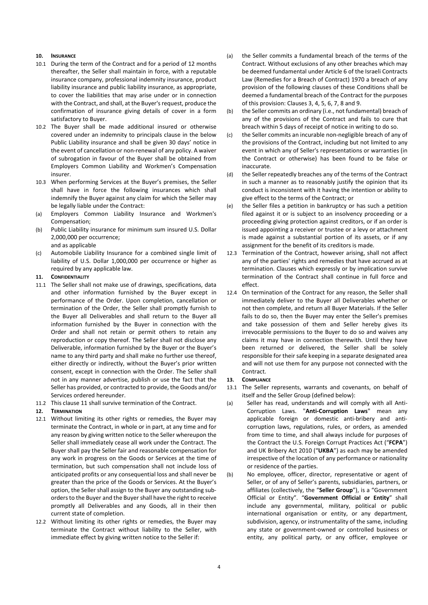# 10. INSURANCE

- 10.1 During the term of the Contract and for a period of 12 months thereafter, the Seller shall maintain in force, with a reputable insurance company, professional indemnity insurance, product liability insurance and public liability insurance, as appropriate, to cover the liabilities that may arise under or in connection with the Contract, and shall, at the Buyer's request, produce the confirmation of insurance giving details of cover in a form satisfactory to Buyer.
- 10.2 The Buyer shall be made additional insured or otherwise covered under an indemnity to principals clause in the below Public Liability insurance and shall be given 30 days' notice in the event of cancellation or non-renewal of any policy. A waiver of subrogation in favour of the Buyer shall be obtained from Employers Common Liability and Workmen's Compensation insurer.
- 10.3 When performing Services at the Buyer's premises, the Seller shall have in force the following insurances which shall indemnify the Buyer against any claim for which the Seller may be legally liable under the Contract:
- (a) Employers Common Liability Insurance and Workmen's Compensation;
- (b) Public Liability insurance for minimum sum insured U.S. Dollar 2,000,000 per occurrence; and as applicable
- (c) Automobile Liability Insurance for a combined single limit of liability of U.S. Dollar 1,000,000 per occurrence or higher as required by any applicable law.

### 11. CONFIDENTIALITY

- 11.1 The Seller shall not make use of drawings, specifications, data and other information furnished by the Buyer except in performance of the Order. Upon completion, cancellation or termination of the Order, the Seller shall promptly furnish to the Buyer all Deliverables and shall return to the Buyer all information furnished by the Buyer in connection with the Order and shall not retain or permit others to retain any reproduction or copy thereof. The Seller shall not disclose any Deliverable, information furnished by the Buyer or the Buyer's name to any third party and shall make no further use thereof, either directly or indirectly, without the Buyer's prior written consent, except in connection with the Order. The Seller shall not in any manner advertise, publish or use the fact that the Seller has provided, or contracted to provide, the Goods and/or Services ordered hereunder.
- 11.2 This clause 11 shall survive termination of the Contract.

### 12. TERMINATION

- 12.1 Without limiting its other rights or remedies, the Buyer may terminate the Contract, in whole or in part, at any time and for any reason by giving written notice to the Seller whereupon the Seller shall immediately cease all work under the Contract. The Buyer shall pay the Seller fair and reasonable compensation for any work in progress on the Goods or Services at the time of termination, but such compensation shall not include loss of anticipated profits or any consequential loss and shall never be greater than the price of the Goods or Services. At the Buyer's option, the Seller shall assign to the Buyer any outstanding suborders to the Buyer and the Buyer shall have the right to receive promptly all Deliverables and any Goods, all in their then current state of completion.
- 12.2 Without limiting its other rights or remedies, the Buyer may terminate the Contract without liability to the Seller, with immediate effect by giving written notice to the Seller if:
- (a) the Seller commits a fundamental breach of the terms of the Contract. Without exclusions of any other breaches which may be deemed fundamental under Article 6 of the Israeli Contracts Law (Remedies for a Breach of Contract) 1970 a breach of any provision of the following clauses of these Conditions shall be deemed a fundamental breach of the Contract for the purposes of this provision: Clauses 3, 4, 5, 6, 7, 8 and 9.
- (b) the Seller commits an ordinary (i.e., not fundamental) breach of any of the provisions of the Contract and fails to cure that breach within 5 days of receipt of notice in writing to do so.
- (c) the Seller commits an incurable non-negligible breach of any of the provisions of the Contract, including but not limited to any event in which any of Seller's representations or warranties (in the Contract or otherwise) has been found to be false or inaccurate.
- (d) the Seller repeatedly breaches any of the terms of the Contract in such a manner as to reasonably justify the opinion that its conduct is inconsistent with it having the intention or ability to give effect to the terms of the Contract; or
- (e) the Seller files a petition in bankruptcy or has such a petition filed against it or is subject to an insolvency proceeding or a proceeding giving protection against creditors, or if an order is issued appointing a receiver or trustee or a levy or attachment is made against a substantial portion of its assets, or if any assignment for the benefit of its creditors is made.
- 12.3 Termination of the Contract, however arising, shall not affect any of the parties' rights and remedies that have accrued as at termination. Clauses which expressly or by implication survive termination of the Contract shall continue in full force and effect.
- 12.4 On termination of the Contract for any reason, the Seller shall immediately deliver to the Buyer all Deliverables whether or not then complete, and return all Buyer Materials. If the Seller fails to do so, then the Buyer may enter the Seller's premises and take possession of them and Seller hereby gives its irrevocable permissions to the Buyer to do so and waives any claims it may have in connection therewith. Until they have been returned or delivered, the Seller shall be solely responsible for their safe keeping in a separate designated area and will not use them for any purpose not connected with the Contract.

### 13. COMPLIANCE

- 13.1 The Seller represents, warrants and covenants, on behalf of itself and the Seller Group (defined below):
- (a) Seller has read, understands and will comply with all Anti-Corruption Laws. "Anti-Corruption Laws" mean any applicable foreign or domestic anti-bribery and anticorruption laws, regulations, rules, or orders, as amended from time to time, and shall always include for purposes of the Contract the U.S. Foreign Corrupt Practices Act ("FCPA") and UK Bribery Act 2010 ("UKBA") as each may be amended irrespective of the location of any performance or nationality or residence of the parties.
- (b) No employee, officer, director, representative or agent of Seller, or of any of Seller's parents, subsidiaries, partners, or affiliates (collectively, the "Seller Group"), is a "Government Official or Entity". "Government Official or Entity" shall include any governmental, military, political or public international organisation or entity, or any department, subdivision, agency, or instrumentality of the same, including any state or government-owned or controlled business or entity, any political party, or any officer, employee or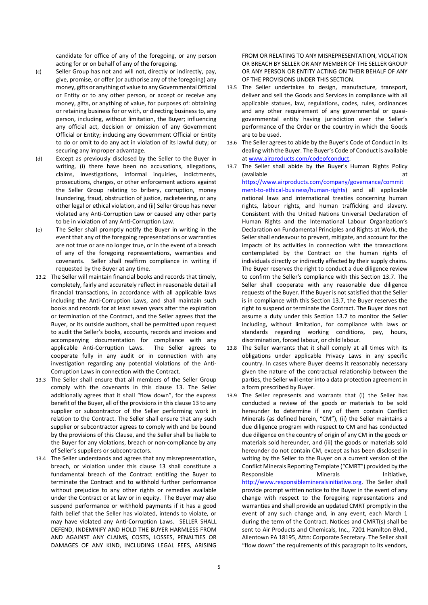candidate for office of any of the foregoing, or any person acting for or on behalf of any of the foregoing.

- (c) Seller Group has not and will not, directly or indirectly, pay, give, promise, or offer (or authorise any of the foregoing) any money, gifts or anything of value to any Governmental Official or Entity or to any other person, or accept or receive any money, gifts, or anything of value, for purposes of: obtaining or retaining business for or with, or directing business to, any person, including, without limitation, the Buyer; influencing any official act, decision or omission of any Government Official or Entity; inducing any Government Official or Entity to do or omit to do any act in violation of its lawful duty; or securing any improper advantage.
- (d) Except as previously disclosed by the Seller to the Buyer in writing, (i) there have been no accusations, allegations, claims, investigations, informal inquiries, indictments, prosecutions, charges, or other enforcement actions against the Seller Group relating to bribery, corruption, money laundering, fraud, obstruction of justice, racketeering, or any other legal or ethical violation, and (ii) Seller Group has never violated any Anti-Corruption Law or caused any other party to be in violation of any Anti-Corruption Law.
- (e) The Seller shall promptly notify the Buyer in writing in the event that any of the foregoing representations or warranties are not true or are no longer true, or in the event of a breach of any of the foregoing representations, warranties and covenants. Seller shall reaffirm compliance in writing if requested by the Buyer at any time.
- 13.2 The Seller will maintain financial books and records that timely, completely, fairly and accurately reflect in reasonable detail all financial transactions, in accordance with all applicable laws including the Anti-Corruption Laws, and shall maintain such books and records for at least seven years after the expiration or termination of the Contract, and the Seller agrees that the Buyer, or its outside auditors, shall be permitted upon request to audit the Seller's books, accounts, records and invoices and accompanying documentation for compliance with any applicable Anti-Corruption Laws. The Seller agrees to cooperate fully in any audit or in connection with any investigation regarding any potential violations of the Anti-Corruption Laws in connection with the Contract.
- 13.3 The Seller shall ensure that all members of the Seller Group comply with the covenants in this clause 13. The Seller additionally agrees that it shall "flow down", for the express benefit of the Buyer, all of the provisions in this clause 13 to any supplier or subcontractor of the Seller performing work in relation to the Contract. The Seller shall ensure that any such supplier or subcontractor agrees to comply with and be bound by the provisions of this Clause, and the Seller shall be liable to the Buyer for any violations, breach or non-compliance by any of Seller's suppliers or subcontractors.
- 13.4 The Seller understands and agrees that any misrepresentation, breach, or violation under this clause 13 shall constitute a fundamental breach of the Contract entitling the Buyer to terminate the Contract and to withhold further performance without prejudice to any other rights or remedies available under the Contract or at law or in equity. The Buyer may also suspend performance or withhold payments if it has a good faith belief that the Seller has violated, intends to violate, or may have violated any Anti-Corruption Laws. SELLER SHALL DEFEND, INDEMNIFY AND HOLD THE BUYER HARMLESS FROM AND AGAINST ANY CLAIMS, COSTS, LOSSES, PENALTIES OR DAMAGES OF ANY KIND, INCLUDING LEGAL FEES, ARISING

FROM OR RELATING TO ANY MISREPRESENTATION, VIOLATION OR BREACH BY SELLER OR ANY MEMBER OF THE SELLER GROUP OR ANY PERSON OR ENTITY ACTING ON THEIR BEHALF OF ANY OF THE PROVISIONS UNDER THIS SECTION.

- 13.5 The Seller undertakes to design, manufacture, transport, deliver and sell the Goods and Services in compliance with all applicable statues, law, regulations, codes, rules, ordinances and any other requirement of any governmental or quasigovernmental entity having jurisdiction over the Seller's performance of the Order or the country in which the Goods are to be used.
- 13.6 The Seller agrees to abide by the Buyer's Code of Conduct in its dealing with the Buyer. The Buyer's Code of Conduct is available at www.airproducts.com/codeofconduct.
- 13.7 The Seller shall abide by the Buyer's Human Rights Policy (available at a state of  $\overline{a}$  at a state of  $\overline{a}$  at a state of  $\overline{a}$  at a state of  $\overline{a}$  at a state of  $\overline{a}$  at a state of  $\overline{a}$  at a state of  $\overline{a}$  at a state of  $\overline{a}$  at a state of  $\overline{a}$  at a

https://www.airproducts.com/company/governance/commit ment-to-ethical-business/human-rights) and all applicable national laws and international treaties concerning human rights, labour rights, and human trafficking and slavery. Consistent with the United Nations Universal Declaration of Human Rights and the International Labour Organization's Declaration on Fundamental Principles and Rights at Work, the Seller shall endeavour to prevent, mitigate, and account for the impacts of its activities in connection with the transactions contemplated by the Contract on the human rights of individuals directly or indirectly affected by their supply chains. The Buyer reserves the right to conduct a due diligence review to confirm the Seller's compliance with this Section 13.7. The Seller shall cooperate with any reasonable due diligence requests of the Buyer. If the Buyer is not satisfied that the Seller is in compliance with this Section 13.7, the Buyer reserves the right to suspend or terminate the Contract. The Buyer does not assume a duty under this Section 13.7 to monitor the Seller including, without limitation, for compliance with laws or standards regarding working conditions, pay, hours, discrimination, forced labour, or child labour.

- 13.8 The Seller warrants that it shall comply at all times with its obligations under applicable Privacy Laws in any specific country. In cases where Buyer deems it reasonably necessary given the nature of the contractual relationship between the parties, the Seller will enter into a data protection agreement in a form prescribed by Buyer.
- 13.9 The Seller represents and warrants that (i) the Seller has conducted a review of the goods or materials to be sold hereunder to determine if any of them contain Conflict Minerals (as defined herein, "CM"), (ii) the Seller maintains a due diligence program with respect to CM and has conducted due diligence on the country of origin of any CM in the goods or materials sold hereunder, and (iii) the goods or materials sold hereunder do not contain CM, except as has been disclosed in writing by the Seller to the Buyer on a current version of the Conflict Minerals Reporting Template ("CMRT") provided by the Responsible Minerals Minerals Initiative, http://www.responsiblemineralsinitiative.org. The Seller shall provide prompt written notice to the Buyer in the event of any change with respect to the foregoing representations and warranties and shall provide an updated CMRT promptly in the event of any such change and, in any event, each March 1 during the term of the Contract. Notices and CMRT(s) shall be sent to Air Products and Chemicals, Inc., 7201 Hamilton Blvd., Allentown PA 18195, Attn: Corporate Secretary. The Seller shall "flow down" the requirements of this paragraph to its vendors,